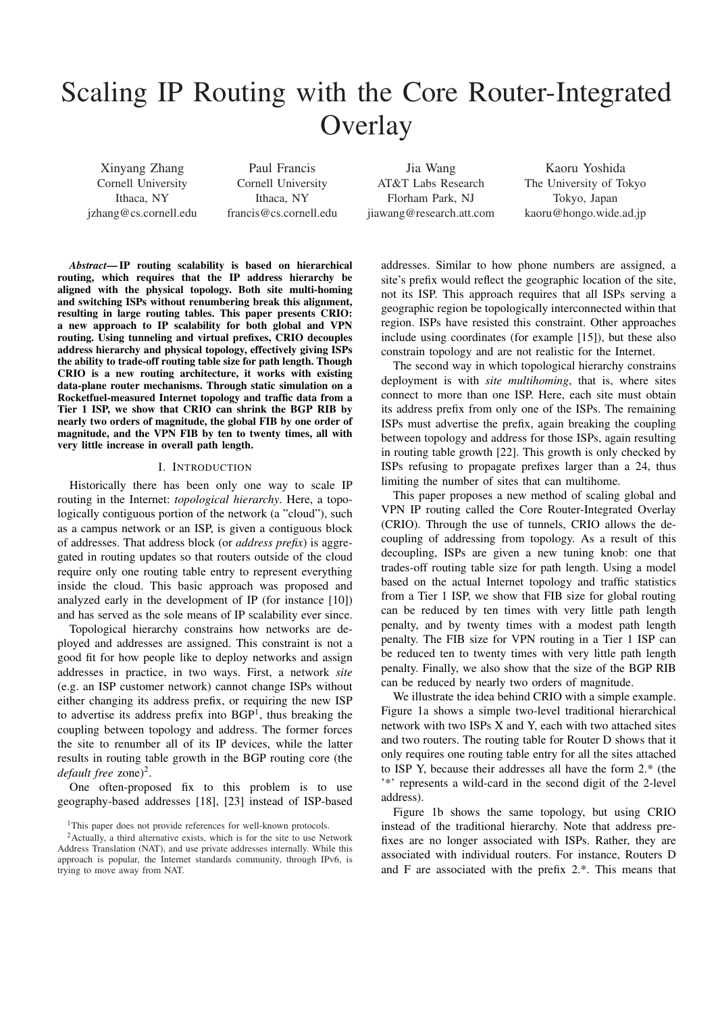# Scaling IP Routing with the Core Router-Integrated **Overlay**

Xinyang Zhang Cornell University Ithaca, NY jzhang@cs.cornell.edu

Paul Francis Cornell University Ithaca, NY francis@cs.cornell.edu

Jia Wang AT&T Labs Research Florham Park, NJ jiawang@research.att.com

Kaoru Yoshida The University of Tokyo Tokyo, Japan kaoru@hongo.wide.ad.jp

*Abstract*— IP routing scalability is based on hierarchical routing, which requires that the IP address hierarchy be aligned with the physical topology. Both site multi-homing and switching ISPs without renumbering break this alignment, resulting in large routing tables. This paper presents CRIO: a new approach to IP scalability for both global and VPN routing. Using tunneling and virtual prefixes, CRIO decouples address hierarchy and physical topology, effectively giving ISPs the ability to trade-off routing table size for path length. Though CRIO is a new routing architecture, it works with existing data-plane router mechanisms. Through static simulation on a Rocketfuel-measured Internet topology and traffic data from a Tier 1 ISP, we show that CRIO can shrink the BGP RIB by nearly two orders of magnitude, the global FIB by one order of magnitude, and the VPN FIB by ten to twenty times, all with very little increase in overall path length.

#### I. INTRODUCTION

Historically there has been only one way to scale IP routing in the Internet: *topological hierarchy*. Here, a topologically contiguous portion of the network (a "cloud"), such as a campus network or an ISP, is given a contiguous block of addresses. That address block (or *address prefix*) is aggregated in routing updates so that routers outside of the cloud require only one routing table entry to represent everything inside the cloud. This basic approach was proposed and analyzed early in the development of IP (for instance [10]) and has served as the sole means of IP scalability ever since.

Topological hierarchy constrains how networks are deployed and addresses are assigned. This constraint is not a good fit for how people like to deploy networks and assign addresses in practice, in two ways. First, a network *site* (e.g. an ISP customer network) cannot change ISPs without either changing its address prefix, or requiring the new ISP to advertise its address prefix into  $BGP<sup>1</sup>$ , thus breaking the coupling between topology and address. The former forces the site to renumber all of its IP devices, while the latter results in routing table growth in the BGP routing core (the default free zone)<sup>2</sup>.

One often-proposed fix to this problem is to use geography-based addresses [18], [23] instead of ISP-based addresses. Similar to how phone numbers are assigned, a site's prefix would reflect the geographic location of the site, not its ISP. This approach requires that all ISPs serving a geographic region be topologically interconnected within that region. ISPs have resisted this constraint. Other approaches include using coordinates (for example [15]), but these also constrain topology and are not realistic for the Internet.

The second way in which topological hierarchy constrains deployment is with *site multihoming*, that is, where sites connect to more than one ISP. Here, each site must obtain its address prefix from only one of the ISPs. The remaining ISPs must advertise the prefix, again breaking the coupling between topology and address for those ISPs, again resulting in routing table growth [22]. This growth is only checked by ISPs refusing to propagate prefixes larger than a 24, thus limiting the number of sites that can multihome.

This paper proposes a new method of scaling global and VPN IP routing called the Core Router-Integrated Overlay (CRIO). Through the use of tunnels, CRIO allows the decoupling of addressing from topology. As a result of this decoupling, ISPs are given a new tuning knob: one that trades-off routing table size for path length. Using a model based on the actual Internet topology and traffic statistics from a Tier 1 ISP, we show that FIB size for global routing can be reduced by ten times with very little path length penalty, and by twenty times with a modest path length penalty. The FIB size for VPN routing in a Tier 1 ISP can be reduced ten to twenty times with very little path length penalty. Finally, we also show that the size of the BGP RIB can be reduced by nearly two orders of magnitude.

We illustrate the idea behind CRIO with a simple example. Figure 1a shows a simple two-level traditional hierarchical network with two ISPs X and Y, each with two attached sites and two routers. The routing table for Router D shows that it only requires one routing table entry for all the sites attached to ISP Y, because their addresses all have the form 2.\* (the '\*' represents a wild-card in the second digit of the 2-level address).

Figure 1b shows the same topology, but using CRIO instead of the traditional hierarchy. Note that address prefixes are no longer associated with ISPs. Rather, they are associated with individual routers. For instance, Routers D and F are associated with the prefix 2.\*. This means that

<sup>&</sup>lt;sup>1</sup>This paper does not provide references for well-known protocols.

 $2$ Actually, a third alternative exists, which is for the site to use Network Address Translation (NAT), and use private addresses internally. While this approach is popular, the Internet standards community, through IPv6, is trying to move away from NAT.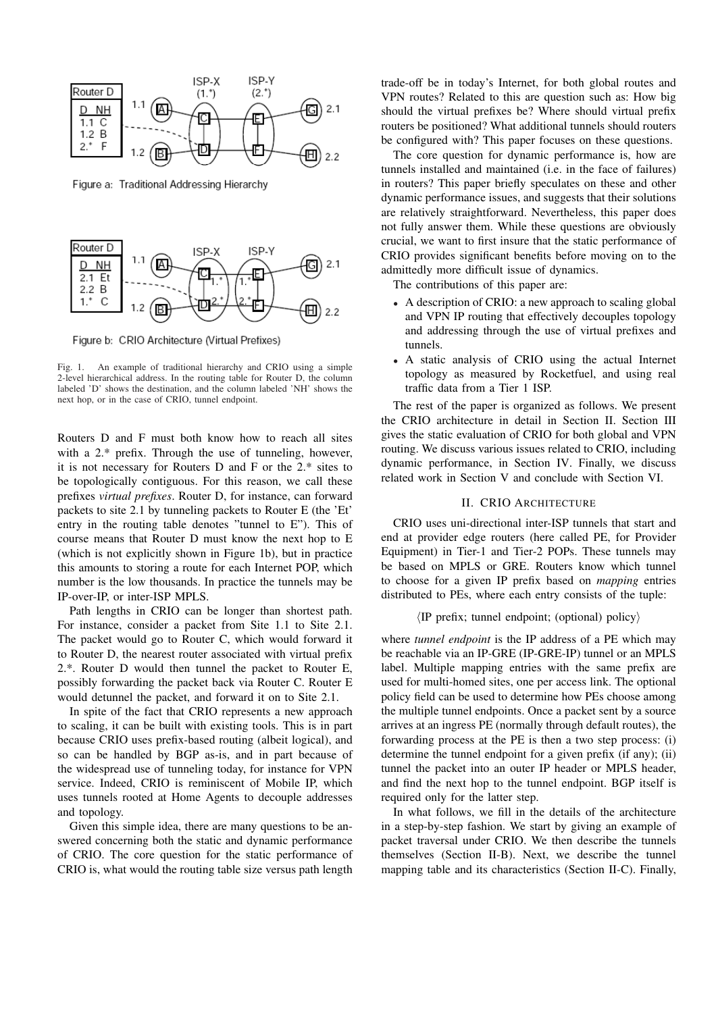

Figure a: Traditional Addressing Hierarchy



Figure b: CRIO Architecture (Virtual Prefixes)

Fig. 1. An example of traditional hierarchy and CRIO using a simple 2-level hierarchical address. In the routing table for Router D, the column labeled 'D' shows the destination, and the column labeled 'NH' shows the next hop, or in the case of CRIO, tunnel endpoint.

Routers D and F must both know how to reach all sites with a 2.\* prefix. Through the use of tunneling, however, it is not necessary for Routers D and F or the 2.\* sites to be topologically contiguous. For this reason, we call these prefixes *virtual prefixes*. Router D, for instance, can forward packets to site 2.1 by tunneling packets to Router E (the 'Et' entry in the routing table denotes "tunnel to E"). This of course means that Router D must know the next hop to E (which is not explicitly shown in Figure 1b), but in practice this amounts to storing a route for each Internet POP, which number is the low thousands. In practice the tunnels may be IP-over-IP, or inter-ISP MPLS.

Path lengths in CRIO can be longer than shortest path. For instance, consider a packet from Site 1.1 to Site 2.1. The packet would go to Router C, which would forward it to Router D, the nearest router associated with virtual prefix 2.\*. Router D would then tunnel the packet to Router E, possibly forwarding the packet back via Router C. Router E would detunnel the packet, and forward it on to Site 2.1.

In spite of the fact that CRIO represents a new approach to scaling, it can be built with existing tools. This is in part because CRIO uses prefix-based routing (albeit logical), and so can be handled by BGP as-is, and in part because of the widespread use of tunneling today, for instance for VPN service. Indeed, CRIO is reminiscent of Mobile IP, which uses tunnels rooted at Home Agents to decouple addresses and topology.

Given this simple idea, there are many questions to be answered concerning both the static and dynamic performance of CRIO. The core question for the static performance of CRIO is, what would the routing table size versus path length trade-off be in today's Internet, for both global routes and VPN routes? Related to this are question such as: How big should the virtual prefixes be? Where should virtual prefix routers be positioned? What additional tunnels should routers be configured with? This paper focuses on these questions.

The core question for dynamic performance is, how are tunnels installed and maintained (i.e. in the face of failures) in routers? This paper briefly speculates on these and other dynamic performance issues, and suggests that their solutions are relatively straightforward. Nevertheless, this paper does not fully answer them. While these questions are obviously crucial, we want to first insure that the static performance of CRIO provides significant benefits before moving on to the admittedly more difficult issue of dynamics.

The contributions of this paper are:

- A description of CRIO: a new approach to scaling global and VPN IP routing that effectively decouples topology and addressing through the use of virtual prefixes and tunnels.
- A static analysis of CRIO using the actual Internet topology as measured by Rocketfuel, and using real traffic data from a Tier 1 ISP.

The rest of the paper is organized as follows. We present the CRIO architecture in detail in Section II. Section III gives the static evaluation of CRIO for both global and VPN routing. We discuss various issues related to CRIO, including dynamic performance, in Section IV. Finally, we discuss related work in Section V and conclude with Section VI.

#### II. CRIO ARCHITECTURE

CRIO uses uni-directional inter-ISP tunnels that start and end at provider edge routers (here called PE, for Provider Equipment) in Tier-1 and Tier-2 POPs. These tunnels may be based on MPLS or GRE. Routers know which tunnel to choose for a given IP prefix based on *mapping* entries distributed to PEs, where each entry consists of the tuple:

#### $\langle$ IP prefix; tunnel endpoint; (optional) policy $\rangle$

where *tunnel endpoint* is the IP address of a PE which may be reachable via an IP-GRE (IP-GRE-IP) tunnel or an MPLS label. Multiple mapping entries with the same prefix are used for multi-homed sites, one per access link. The optional policy field can be used to determine how PEs choose among the multiple tunnel endpoints. Once a packet sent by a source arrives at an ingress PE (normally through default routes), the forwarding process at the PE is then a two step process: (i) determine the tunnel endpoint for a given prefix (if any); (ii) tunnel the packet into an outer IP header or MPLS header, and find the next hop to the tunnel endpoint. BGP itself is required only for the latter step.

In what follows, we fill in the details of the architecture in a step-by-step fashion. We start by giving an example of packet traversal under CRIO. We then describe the tunnels themselves (Section II-B). Next, we describe the tunnel mapping table and its characteristics (Section II-C). Finally,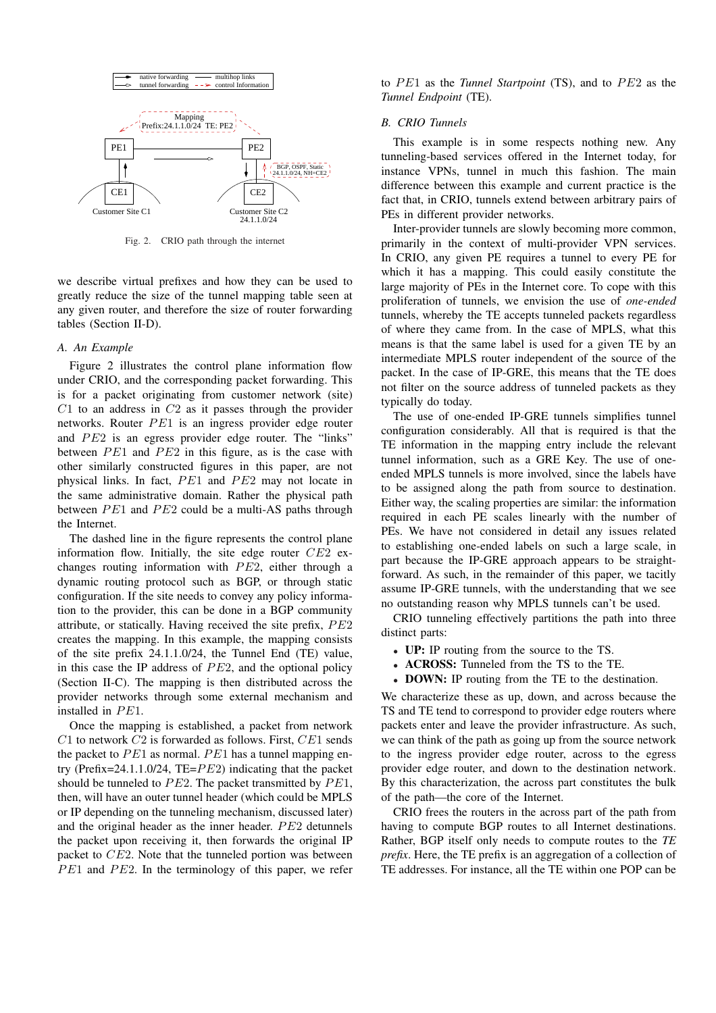

Fig. 2. CRIO path through the internet

we describe virtual prefixes and how they can be used to greatly reduce the size of the tunnel mapping table seen at any given router, and therefore the size of router forwarding tables (Section II-D).

### *A. An Example*

Figure 2 illustrates the control plane information flow under CRIO, and the corresponding packet forwarding. This is for a packet originating from customer network (site)  $C1$  to an address in  $C2$  as it passes through the provider networks. Router  $PE1$  is an ingress provider edge router and  $PE2$  is an egress provider edge router. The "links" between  $PE1$  and  $PE2$  in this figure, as is the case with other similarly constructed figures in this paper, are not physical links. In fact,  $PE1$  and  $PE2$  may not locate in the same administrative domain. Rather the physical path between  $PE1$  and  $PE2$  could be a multi-AS paths through the Internet.

The dashed line in the figure represents the control plane information flow. Initially, the site edge router  $CE2$  exchanges routing information with  $PE2$ , either through a dynamic routing protocol such as BGP, or through static configuration. If the site needs to convey any policy information to the provider, this can be done in a BGP community attribute, or statically. Having received the site prefix,  $PE2$ creates the mapping. In this example, the mapping consists of the site prefix 24.1.1.0/24, the Tunnel End (TE) value, in this case the IP address of  $PE2$ , and the optional policy (Section II-C). The mapping is then distributed across the provider networks through some external mechanism and installed in  $PE1$ .

Once the mapping is established, a packet from network  $C1$  to network  $C2$  is forwarded as follows. First,  $CE1$  sends the packet to  $PE1$  as normal.  $PE1$  has a tunnel mapping entry (Prefix=24.1.1.0/24, TE= $PE2$ ) indicating that the packet should be tunneled to  $PE2$ . The packet transmitted by  $PE1$ , then, will have an outer tunnel header (which could be MPLS or IP depending on the tunneling mechanism, discussed later) and the original header as the inner header.  $PE2$  detunnels the packet upon receiving it, then forwards the original IP packet to CE2. Note that the tunneled portion was between  $PE1$  and  $PE2$ . In the terminology of this paper, we refer to PE1 as the *Tunnel Startpoint* (TS), and to PE2 as the *Tunnel Endpoint* (TE).

#### *B. CRIO Tunnels*

This example is in some respects nothing new. Any tunneling-based services offered in the Internet today, for instance VPNs, tunnel in much this fashion. The main difference between this example and current practice is the fact that, in CRIO, tunnels extend between arbitrary pairs of PEs in different provider networks.

Inter-provider tunnels are slowly becoming more common, primarily in the context of multi-provider VPN services. In CRIO, any given PE requires a tunnel to every PE for which it has a mapping. This could easily constitute the large majority of PEs in the Internet core. To cope with this proliferation of tunnels, we envision the use of *one-ended* tunnels, whereby the TE accepts tunneled packets regardless of where they came from. In the case of MPLS, what this means is that the same label is used for a given TE by an intermediate MPLS router independent of the source of the packet. In the case of IP-GRE, this means that the TE does not filter on the source address of tunneled packets as they typically do today.

The use of one-ended IP-GRE tunnels simplifies tunnel configuration considerably. All that is required is that the TE information in the mapping entry include the relevant tunnel information, such as a GRE Key. The use of oneended MPLS tunnels is more involved, since the labels have to be assigned along the path from source to destination. Either way, the scaling properties are similar: the information required in each PE scales linearly with the number of PEs. We have not considered in detail any issues related to establishing one-ended labels on such a large scale, in part because the IP-GRE approach appears to be straightforward. As such, in the remainder of this paper, we tacitly assume IP-GRE tunnels, with the understanding that we see no outstanding reason why MPLS tunnels can't be used.

CRIO tunneling effectively partitions the path into three distinct parts:

- UP: IP routing from the source to the TS.
- ACROSS: Tunneled from the TS to the TE.
- **DOWN:** IP routing from the TE to the destination.

We characterize these as up, down, and across because the TS and TE tend to correspond to provider edge routers where packets enter and leave the provider infrastructure. As such, we can think of the path as going up from the source network to the ingress provider edge router, across to the egress provider edge router, and down to the destination network. By this characterization, the across part constitutes the bulk of the path—the core of the Internet.

CRIO frees the routers in the across part of the path from having to compute BGP routes to all Internet destinations. Rather, BGP itself only needs to compute routes to the *TE prefix*. Here, the TE prefix is an aggregation of a collection of TE addresses. For instance, all the TE within one POP can be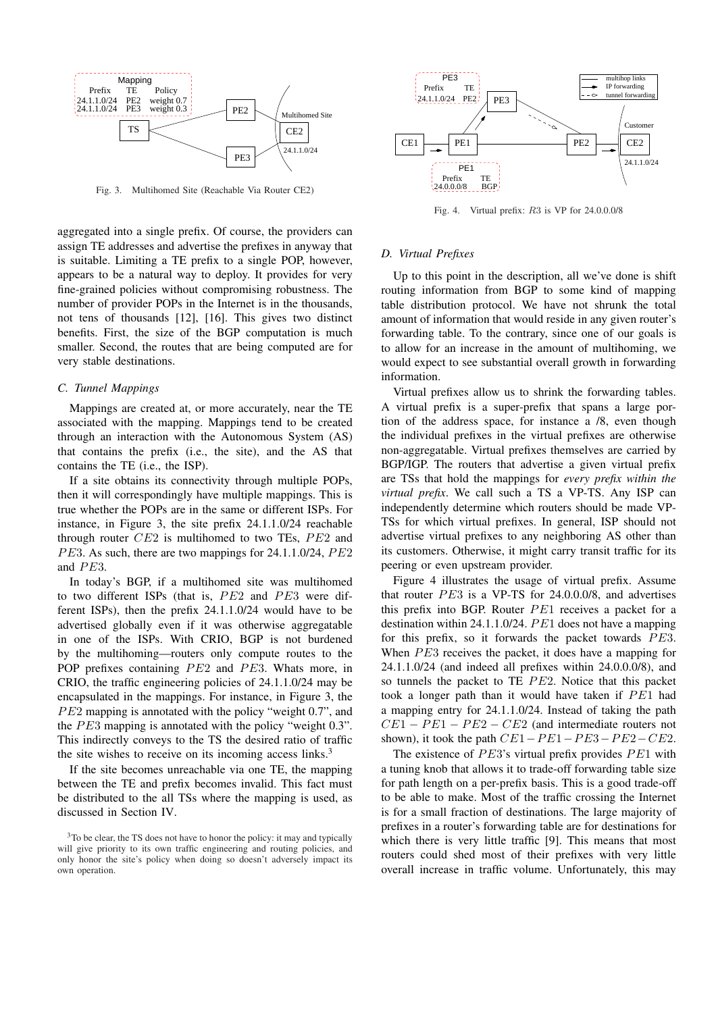

Fig. 3. Multihomed Site (Reachable Via Router CE2)

aggregated into a single prefix. Of course, the providers can assign TE addresses and advertise the prefixes in anyway that is suitable. Limiting a TE prefix to a single POP, however, appears to be a natural way to deploy. It provides for very fine-grained policies without compromising robustness. The number of provider POPs in the Internet is in the thousands, not tens of thousands [12], [16]. This gives two distinct benefits. First, the size of the BGP computation is much smaller. Second, the routes that are being computed are for very stable destinations.

### *C. Tunnel Mappings*

Mappings are created at, or more accurately, near the TE associated with the mapping. Mappings tend to be created through an interaction with the Autonomous System (AS) that contains the prefix (i.e., the site), and the AS that contains the TE (i.e., the ISP).

If a site obtains its connectivity through multiple POPs, then it will correspondingly have multiple mappings. This is true whether the POPs are in the same or different ISPs. For instance, in Figure 3, the site prefix 24.1.1.0/24 reachable through router  $CE2$  is multihomed to two TEs,  $PE2$  and  $PE3$ . As such, there are two mappings for 24.1.1.0/24,  $PE2$ and  $PE3$ .

In today's BGP, if a multihomed site was multihomed to two different ISPs (that is,  $PE2$  and  $PE3$  were different ISPs), then the prefix 24.1.1.0/24 would have to be advertised globally even if it was otherwise aggregatable in one of the ISPs. With CRIO, BGP is not burdened by the multihoming—routers only compute routes to the POP prefixes containing  $PE2$  and  $PE3$ . Whats more, in CRIO, the traffic engineering policies of 24.1.1.0/24 may be encapsulated in the mappings. For instance, in Figure 3, the  $PE2$  mapping is annotated with the policy "weight 0.7", and the  $PE3$  mapping is annotated with the policy "weight  $0.3$ ". This indirectly conveys to the TS the desired ratio of traffic the site wishes to receive on its incoming access links.<sup>3</sup>

If the site becomes unreachable via one TE, the mapping between the TE and prefix becomes invalid. This fact must be distributed to the all TSs where the mapping is used, as discussed in Section IV.



Fig. 4. Virtual prefix: R3 is VP for 24.0.0.0/8

#### *D. Virtual Prefixes*

Up to this point in the description, all we've done is shift routing information from BGP to some kind of mapping table distribution protocol. We have not shrunk the total amount of information that would reside in any given router's forwarding table. To the contrary, since one of our goals is to allow for an increase in the amount of multihoming, we would expect to see substantial overall growth in forwarding information.

Virtual prefixes allow us to shrink the forwarding tables. A virtual prefix is a super-prefix that spans a large portion of the address space, for instance a /8, even though the individual prefixes in the virtual prefixes are otherwise non-aggregatable. Virtual prefixes themselves are carried by BGP/IGP. The routers that advertise a given virtual prefix are TSs that hold the mappings for *every prefix within the virtual prefix*. We call such a TS a VP-TS. Any ISP can independently determine which routers should be made VP-TSs for which virtual prefixes. In general, ISP should not advertise virtual prefixes to any neighboring AS other than its customers. Otherwise, it might carry transit traffic for its peering or even upstream provider.

Figure 4 illustrates the usage of virtual prefix. Assume that router  $PE3$  is a VP-TS for 24.0.0.0/8, and advertises this prefix into BGP. Router  $PE1$  receives a packet for a destination within 24.1.1.0/24.  $PE1$  does not have a mapping for this prefix, so it forwards the packet towards  $PE3$ . When  $PE3$  receives the packet, it does have a mapping for 24.1.1.0/24 (and indeed all prefixes within 24.0.0.0/8), and so tunnels the packet to TE  $PE2$ . Notice that this packet took a longer path than it would have taken if  $PE1$  had a mapping entry for 24.1.1.0/24. Instead of taking the path  $CE1 - PE1 - PE2 - CE2$  (and intermediate routers not shown), it took the path  $CE1-PE1-PE3-PE2-CE2$ .

The existence of  $PE3$ 's virtual prefix provides  $PE1$  with a tuning knob that allows it to trade-off forwarding table size for path length on a per-prefix basis. This is a good trade-off to be able to make. Most of the traffic crossing the Internet is for a small fraction of destinations. The large majority of prefixes in a router's forwarding table are for destinations for which there is very little traffic [9]. This means that most routers could shed most of their prefixes with very little overall increase in traffic volume. Unfortunately, this may

 $3<sup>3</sup>$ To be clear, the TS does not have to honor the policy: it may and typically will give priority to its own traffic engineering and routing policies, and only honor the site's policy when doing so doesn't adversely impact its own operation.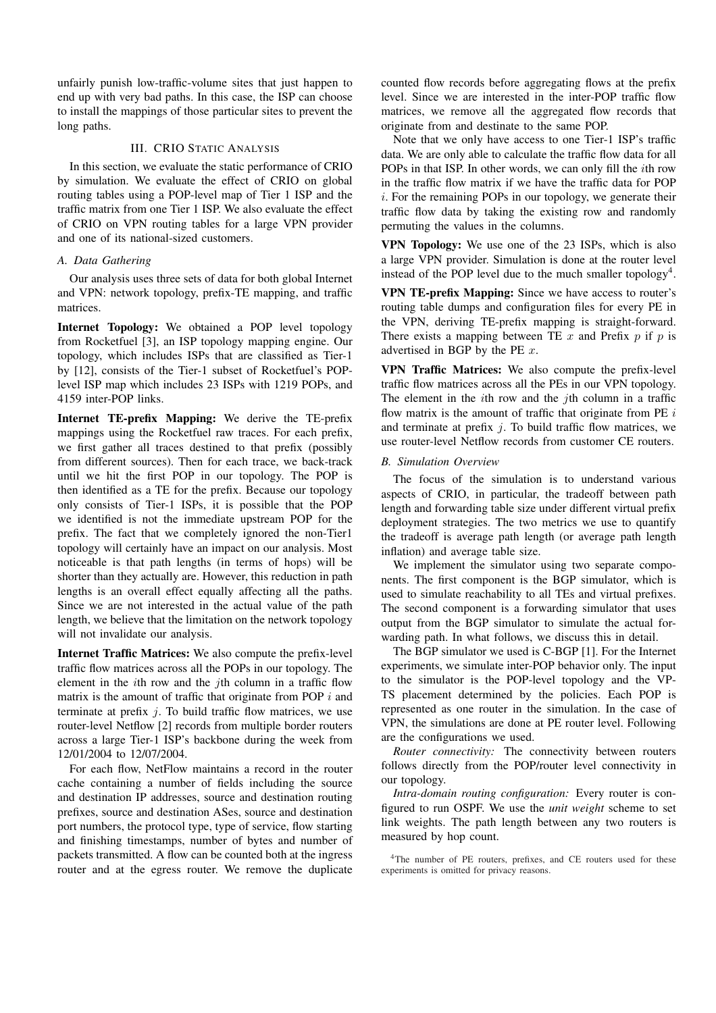unfairly punish low-traffic-volume sites that just happen to end up with very bad paths. In this case, the ISP can choose to install the mappings of those particular sites to prevent the long paths.

## III. CRIO STATIC ANALYSIS

In this section, we evaluate the static performance of CRIO by simulation. We evaluate the effect of CRIO on global routing tables using a POP-level map of Tier 1 ISP and the traffic matrix from one Tier 1 ISP. We also evaluate the effect of CRIO on VPN routing tables for a large VPN provider and one of its national-sized customers.

## *A. Data Gathering*

Our analysis uses three sets of data for both global Internet and VPN: network topology, prefix-TE mapping, and traffic matrices.

Internet Topology: We obtained a POP level topology from Rocketfuel [3], an ISP topology mapping engine. Our topology, which includes ISPs that are classified as Tier-1 by [12], consists of the Tier-1 subset of Rocketfuel's POPlevel ISP map which includes 23 ISPs with 1219 POPs, and 4159 inter-POP links.

Internet TE-prefix Mapping: We derive the TE-prefix mappings using the Rocketfuel raw traces. For each prefix, we first gather all traces destined to that prefix (possibly from different sources). Then for each trace, we back-track until we hit the first POP in our topology. The POP is then identified as a TE for the prefix. Because our topology only consists of Tier-1 ISPs, it is possible that the POP we identified is not the immediate upstream POP for the prefix. The fact that we completely ignored the non-Tier1 topology will certainly have an impact on our analysis. Most noticeable is that path lengths (in terms of hops) will be shorter than they actually are. However, this reduction in path lengths is an overall effect equally affecting all the paths. Since we are not interested in the actual value of the path length, we believe that the limitation on the network topology will not invalidate our analysis.

Internet Traffic Matrices: We also compute the prefix-level traffic flow matrices across all the POPs in our topology. The element in the ith row and the jth column in a traffic flow matrix is the amount of traffic that originate from POP  $i$  and terminate at prefix  $j$ . To build traffic flow matrices, we use router-level Netflow [2] records from multiple border routers across a large Tier-1 ISP's backbone during the week from 12/01/2004 to 12/07/2004.

For each flow, NetFlow maintains a record in the router cache containing a number of fields including the source and destination IP addresses, source and destination routing prefixes, source and destination ASes, source and destination port numbers, the protocol type, type of service, flow starting and finishing timestamps, number of bytes and number of packets transmitted. A flow can be counted both at the ingress router and at the egress router. We remove the duplicate counted flow records before aggregating flows at the prefix level. Since we are interested in the inter-POP traffic flow matrices, we remove all the aggregated flow records that originate from and destinate to the same POP.

Note that we only have access to one Tier-1 ISP's traffic data. We are only able to calculate the traffic flow data for all POPs in that ISP. In other words, we can only fill the ith row in the traffic flow matrix if we have the traffic data for POP i. For the remaining POPs in our topology, we generate their traffic flow data by taking the existing row and randomly permuting the values in the columns.

VPN Topology: We use one of the 23 ISPs, which is also a large VPN provider. Simulation is done at the router level instead of the POP level due to the much smaller topology<sup>4</sup>.

VPN TE-prefix Mapping: Since we have access to router's routing table dumps and configuration files for every PE in the VPN, deriving TE-prefix mapping is straight-forward. There exists a mapping between TE  $x$  and Prefix  $p$  if  $p$  is advertised in BGP by the PE  $x$ .

VPN Traffic Matrices: We also compute the prefix-level traffic flow matrices across all the PEs in our VPN topology. The element in the *i*th row and the *j*th column in a traffic flow matrix is the amount of traffic that originate from PE  $i$ and terminate at prefix  $j$ . To build traffic flow matrices, we use router-level Netflow records from customer CE routers.

## *B. Simulation Overview*

The focus of the simulation is to understand various aspects of CRIO, in particular, the tradeoff between path length and forwarding table size under different virtual prefix deployment strategies. The two metrics we use to quantify the tradeoff is average path length (or average path length inflation) and average table size.

We implement the simulator using two separate components. The first component is the BGP simulator, which is used to simulate reachability to all TEs and virtual prefixes. The second component is a forwarding simulator that uses output from the BGP simulator to simulate the actual forwarding path. In what follows, we discuss this in detail.

The BGP simulator we used is C-BGP [1]. For the Internet experiments, we simulate inter-POP behavior only. The input to the simulator is the POP-level topology and the VP-TS placement determined by the policies. Each POP is represented as one router in the simulation. In the case of VPN, the simulations are done at PE router level. Following are the configurations we used.

*Router connectivity:* The connectivity between routers follows directly from the POP/router level connectivity in our topology.

*Intra-domain routing configuration:* Every router is configured to run OSPF. We use the *unit weight* scheme to set link weights. The path length between any two routers is measured by hop count.

<sup>4</sup>The number of PE routers, prefixes, and CE routers used for these experiments is omitted for privacy reasons.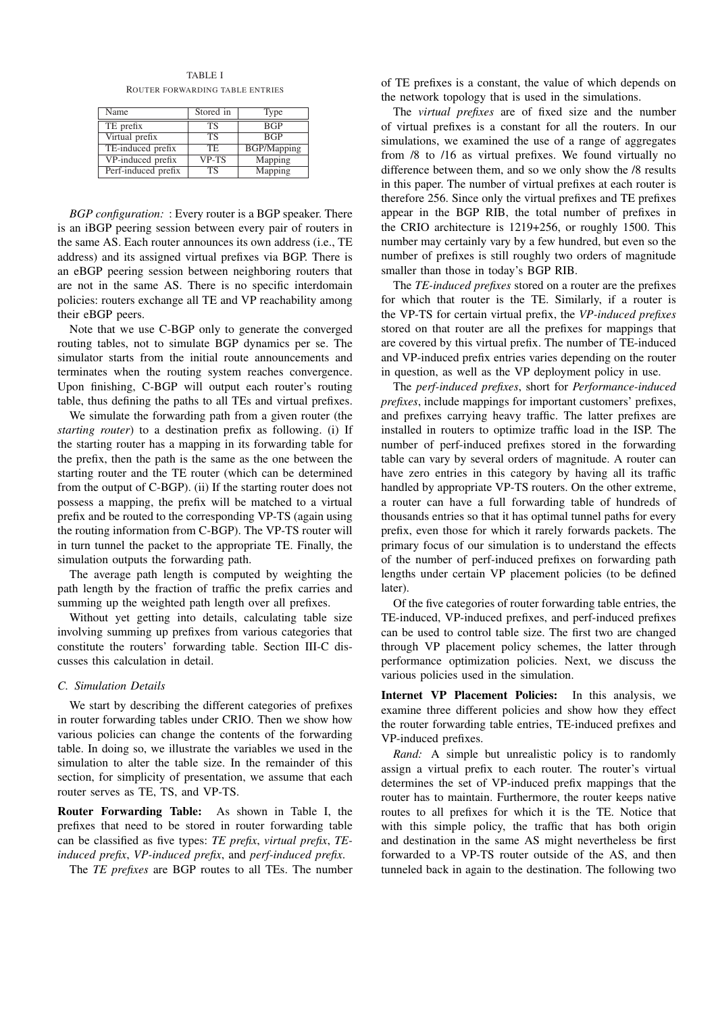TABLE I ROUTER FORWARDING TABLE ENTRIES

| Name                | Stored in | Type               |
|---------------------|-----------|--------------------|
| TE prefix           | TS        | <b>BGP</b>         |
| Virtual prefix      | TS        | <b>BGP</b>         |
| TE-induced prefix   | TE.       | <b>BGP/Mapping</b> |
| VP-induced prefix   | VP-TS     | Mapping            |
| Perf-induced prefix | <b>TS</b> | Mapping            |

*BGP configuration:* : Every router is a BGP speaker. There is an iBGP peering session between every pair of routers in the same AS. Each router announces its own address (i.e., TE address) and its assigned virtual prefixes via BGP. There is an eBGP peering session between neighboring routers that are not in the same AS. There is no specific interdomain policies: routers exchange all TE and VP reachability among their eBGP peers.

Note that we use C-BGP only to generate the converged routing tables, not to simulate BGP dynamics per se. The simulator starts from the initial route announcements and terminates when the routing system reaches convergence. Upon finishing, C-BGP will output each router's routing table, thus defining the paths to all TEs and virtual prefixes.

We simulate the forwarding path from a given router (the *starting router*) to a destination prefix as following. (i) If the starting router has a mapping in its forwarding table for the prefix, then the path is the same as the one between the starting router and the TE router (which can be determined from the output of C-BGP). (ii) If the starting router does not possess a mapping, the prefix will be matched to a virtual prefix and be routed to the corresponding VP-TS (again using the routing information from C-BGP). The VP-TS router will in turn tunnel the packet to the appropriate TE. Finally, the simulation outputs the forwarding path.

The average path length is computed by weighting the path length by the fraction of traffic the prefix carries and summing up the weighted path length over all prefixes.

Without yet getting into details, calculating table size involving summing up prefixes from various categories that constitute the routers' forwarding table. Section III-C discusses this calculation in detail.

#### *C. Simulation Details*

We start by describing the different categories of prefixes in router forwarding tables under CRIO. Then we show how various policies can change the contents of the forwarding table. In doing so, we illustrate the variables we used in the simulation to alter the table size. In the remainder of this section, for simplicity of presentation, we assume that each router serves as TE, TS, and VP-TS.

Router Forwarding Table: As shown in Table I, the prefixes that need to be stored in router forwarding table can be classified as five types: *TE prefix*, *virtual prefix*, *TEinduced prefix*, *VP-induced prefix*, and *perf-induced prefix*.

The *TE prefixes* are BGP routes to all TEs. The number

of TE prefixes is a constant, the value of which depends on the network topology that is used in the simulations.

The *virtual prefixes* are of fixed size and the number of virtual prefixes is a constant for all the routers. In our simulations, we examined the use of a range of aggregates from /8 to /16 as virtual prefixes. We found virtually no difference between them, and so we only show the /8 results in this paper. The number of virtual prefixes at each router is therefore 256. Since only the virtual prefixes and TE prefixes appear in the BGP RIB, the total number of prefixes in the CRIO architecture is 1219+256, or roughly 1500. This number may certainly vary by a few hundred, but even so the number of prefixes is still roughly two orders of magnitude smaller than those in today's BGP RIB.

The *TE-induced prefixes* stored on a router are the prefixes for which that router is the TE. Similarly, if a router is the VP-TS for certain virtual prefix, the *VP-induced prefixes* stored on that router are all the prefixes for mappings that are covered by this virtual prefix. The number of TE-induced and VP-induced prefix entries varies depending on the router in question, as well as the VP deployment policy in use.

The *perf-induced prefixes*, short for *Performance-induced prefixes*, include mappings for important customers' prefixes, and prefixes carrying heavy traffic. The latter prefixes are installed in routers to optimize traffic load in the ISP. The number of perf-induced prefixes stored in the forwarding table can vary by several orders of magnitude. A router can have zero entries in this category by having all its traffic handled by appropriate VP-TS routers. On the other extreme, a router can have a full forwarding table of hundreds of thousands entries so that it has optimal tunnel paths for every prefix, even those for which it rarely forwards packets. The primary focus of our simulation is to understand the effects of the number of perf-induced prefixes on forwarding path lengths under certain VP placement policies (to be defined later).

Of the five categories of router forwarding table entries, the TE-induced, VP-induced prefixes, and perf-induced prefixes can be used to control table size. The first two are changed through VP placement policy schemes, the latter through performance optimization policies. Next, we discuss the various policies used in the simulation.

Internet VP Placement Policies: In this analysis, we examine three different policies and show how they effect the router forwarding table entries, TE-induced prefixes and VP-induced prefixes.

*Rand:* A simple but unrealistic policy is to randomly assign a virtual prefix to each router. The router's virtual determines the set of VP-induced prefix mappings that the router has to maintain. Furthermore, the router keeps native routes to all prefixes for which it is the TE. Notice that with this simple policy, the traffic that has both origin and destination in the same AS might nevertheless be first forwarded to a VP-TS router outside of the AS, and then tunneled back in again to the destination. The following two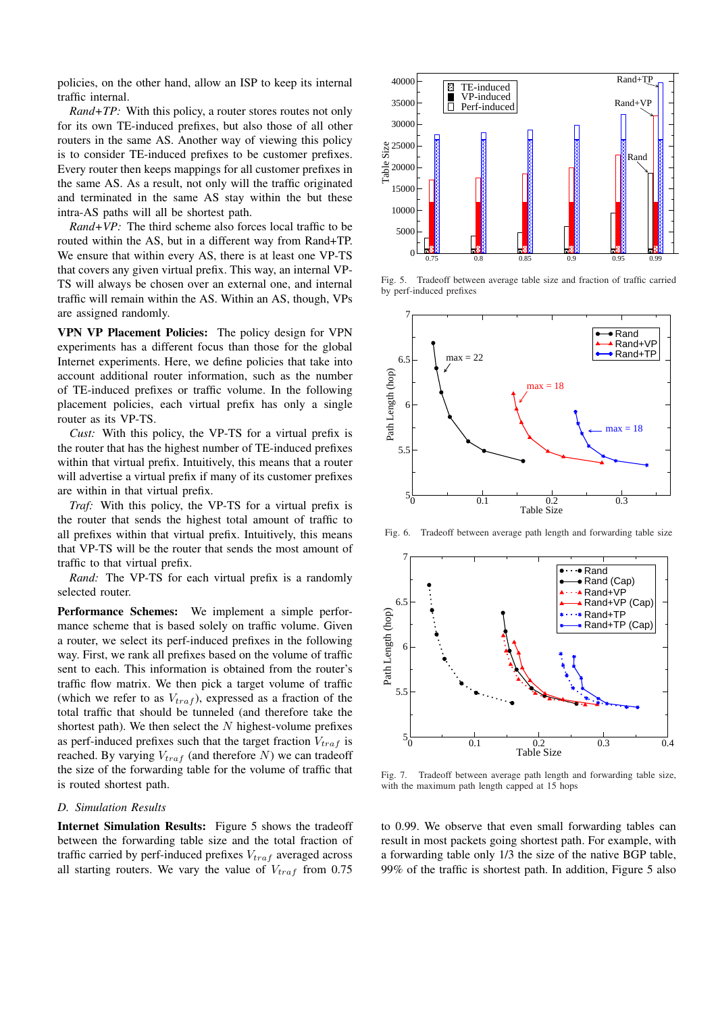policies, on the other hand, allow an ISP to keep its internal traffic internal.

*Rand+TP:* With this policy, a router stores routes not only for its own TE-induced prefixes, but also those of all other routers in the same AS. Another way of viewing this policy is to consider TE-induced prefixes to be customer prefixes. Every router then keeps mappings for all customer prefixes in the same AS. As a result, not only will the traffic originated and terminated in the same AS stay within the but these intra-AS paths will all be shortest path.

*Rand+VP:* The third scheme also forces local traffic to be routed within the AS, but in a different way from Rand+TP. We ensure that within every AS, there is at least one VP-TS that covers any given virtual prefix. This way, an internal VP-TS will always be chosen over an external one, and internal traffic will remain within the AS. Within an AS, though, VPs are assigned randomly.

VPN VP Placement Policies: The policy design for VPN experiments has a different focus than those for the global Internet experiments. Here, we define policies that take into account additional router information, such as the number of TE-induced prefixes or traffic volume. In the following placement policies, each virtual prefix has only a single router as its VP-TS.

*Cust:* With this policy, the VP-TS for a virtual prefix is the router that has the highest number of TE-induced prefixes within that virtual prefix. Intuitively, this means that a router will advertise a virtual prefix if many of its customer prefixes are within in that virtual prefix.

*Traf:* With this policy, the VP-TS for a virtual prefix is the router that sends the highest total amount of traffic to all prefixes within that virtual prefix. Intuitively, this means that VP-TS will be the router that sends the most amount of traffic to that virtual prefix.

*Rand:* The VP-TS for each virtual prefix is a randomly selected router.

Performance Schemes: We implement a simple performance scheme that is based solely on traffic volume. Given a router, we select its perf-induced prefixes in the following way. First, we rank all prefixes based on the volume of traffic sent to each. This information is obtained from the router's traffic flow matrix. We then pick a target volume of traffic (which we refer to as  $V_{tra\,f}$ ), expressed as a fraction of the total traffic that should be tunneled (and therefore take the shortest path). We then select the  $N$  highest-volume prefixes as perf-induced prefixes such that the target fraction  $V_{traf}$  is reached. By varying  $V_{traf}$  (and therefore N) we can tradeoff the size of the forwarding table for the volume of traffic that is routed shortest path.

## *D. Simulation Results*

Internet Simulation Results: Figure 5 shows the tradeoff between the forwarding table size and the total fraction of traffic carried by perf-induced prefixes  $V_{traf}$  averaged across all starting routers. We vary the value of  $V_{traf}$  from 0.75



Fig. 5. Tradeoff between average table size and fraction of traffic carried by perf-induced prefixes



Fig. 6. Tradeoff between average path length and forwarding table size



Fig. 7. Tradeoff between average path length and forwarding table size, with the maximum path length capped at 15 hops

to 0.99. We observe that even small forwarding tables can result in most packets going shortest path. For example, with a forwarding table only 1/3 the size of the native BGP table, 99% of the traffic is shortest path. In addition, Figure 5 also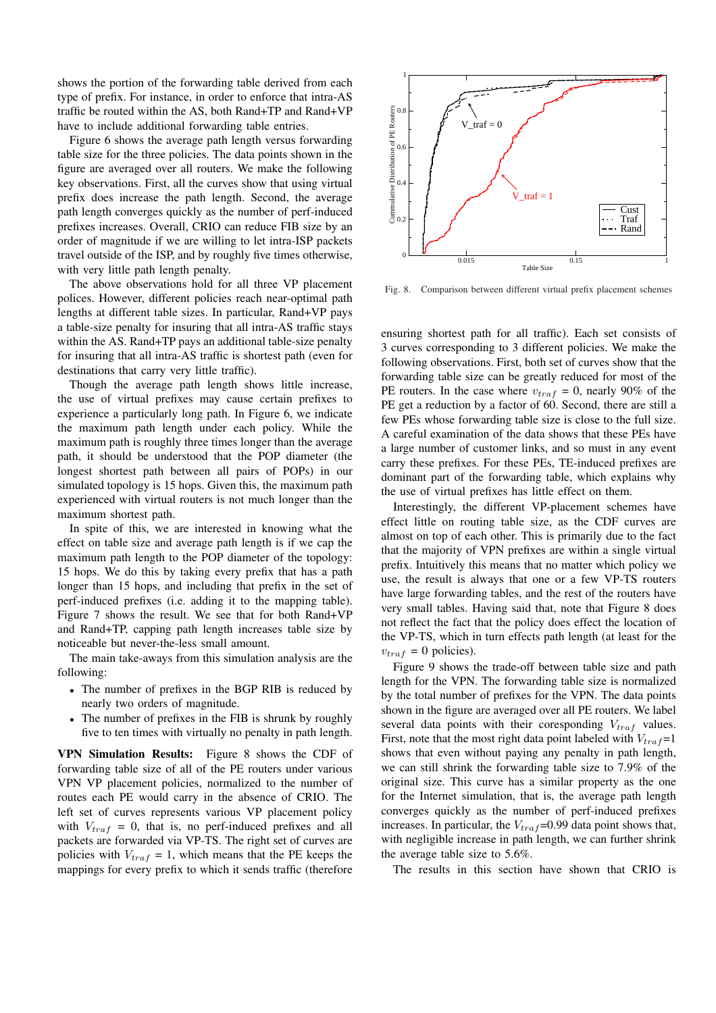shows the portion of the forwarding table derived from each type of prefix. For instance, in order to enforce that intra-AS traffic be routed within the AS, both Rand+TP and Rand+VP have to include additional forwarding table entries.

Figure 6 shows the average path length versus forwarding table size for the three policies. The data points shown in the figure are averaged over all routers. We make the following key observations. First, all the curves show that using virtual prefix does increase the path length. Second, the average path length converges quickly as the number of perf-induced prefixes increases. Overall, CRIO can reduce FIB size by an order of magnitude if we are willing to let intra-ISP packets travel outside of the ISP, and by roughly five times otherwise, with very little path length penalty.

The above observations hold for all three VP placement polices. However, different policies reach near-optimal path lengths at different table sizes. In particular, Rand+VP pays a table-size penalty for insuring that all intra-AS traffic stays within the AS. Rand+TP pays an additional table-size penalty for insuring that all intra-AS traffic is shortest path (even for destinations that carry very little traffic).

Though the average path length shows little increase, the use of virtual prefixes may cause certain prefixes to experience a particularly long path. In Figure 6, we indicate the maximum path length under each policy. While the maximum path is roughly three times longer than the average path, it should be understood that the POP diameter (the longest shortest path between all pairs of POPs) in our simulated topology is 15 hops. Given this, the maximum path experienced with virtual routers is not much longer than the maximum shortest path.

In spite of this, we are interested in knowing what the effect on table size and average path length is if we cap the maximum path length to the POP diameter of the topology: 15 hops. We do this by taking every prefix that has a path longer than 15 hops, and including that prefix in the set of perf-induced prefixes (i.e. adding it to the mapping table). Figure 7 shows the result. We see that for both Rand+VP and Rand+TP, capping path length increases table size by noticeable but never-the-less small amount.

The main take-aways from this simulation analysis are the following:

- The number of prefixes in the BGP RIB is reduced by nearly two orders of magnitude.
- The number of prefixes in the FIB is shrunk by roughly five to ten times with virtually no penalty in path length.

VPN Simulation Results: Figure 8 shows the CDF of forwarding table size of all of the PE routers under various VPN VP placement policies, normalized to the number of routes each PE would carry in the absence of CRIO. The left set of curves represents various VP placement policy with  $V_{traf} = 0$ , that is, no perf-induced prefixes and all packets are forwarded via VP-TS. The right set of curves are policies with  $V_{traf} = 1$ , which means that the PE keeps the mappings for every prefix to which it sends traffic (therefore



Fig. 8. Comparison between different virtual prefix placement schemes

ensuring shortest path for all traffic). Each set consists of 3 curves corresponding to 3 different policies. We make the following observations. First, both set of curves show that the forwarding table size can be greatly reduced for most of the PE routers. In the case where  $v_{traf} = 0$ , nearly 90% of the PE get a reduction by a factor of 60. Second, there are still a few PEs whose forwarding table size is close to the full size. A careful examination of the data shows that these PEs have a large number of customer links, and so must in any event carry these prefixes. For these PEs, TE-induced prefixes are dominant part of the forwarding table, which explains why the use of virtual prefixes has little effect on them.

Interestingly, the different VP-placement schemes have effect little on routing table size, as the CDF curves are almost on top of each other. This is primarily due to the fact that the majority of VPN prefixes are within a single virtual prefix. Intuitively this means that no matter which policy we use, the result is always that one or a few VP-TS routers have large forwarding tables, and the rest of the routers have very small tables. Having said that, note that Figure 8 does not reflect the fact that the policy does effect the location of the VP-TS, which in turn effects path length (at least for the  $v_{\text{traf}} = 0$  policies).

Figure 9 shows the trade-off between table size and path length for the VPN. The forwarding table size is normalized by the total number of prefixes for the VPN. The data points shown in the figure are averaged over all PE routers. We label several data points with their coresponding  $V_{traf}$  values. First, note that the most right data point labeled with  $V_{tra,f}=1$ shows that even without paying any penalty in path length, we can still shrink the forwarding table size to 7.9% of the original size. This curve has a similar property as the one for the Internet simulation, that is, the average path length converges quickly as the number of perf-induced prefixes increases. In particular, the  $V_{traf}$ =0.99 data point shows that, with negligible increase in path length, we can further shrink the average table size to 5.6%.

The results in this section have shown that CRIO is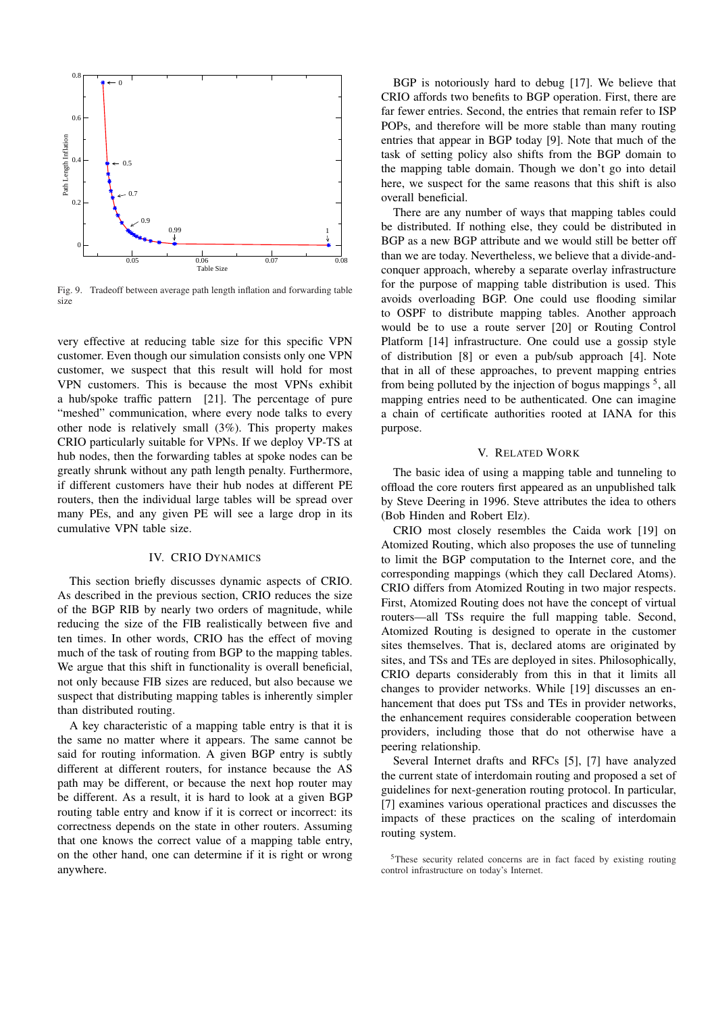

Fig. 9. Tradeoff between average path length inflation and forwarding table size

very effective at reducing table size for this specific VPN customer. Even though our simulation consists only one VPN customer, we suspect that this result will hold for most VPN customers. This is because the most VPNs exhibit a hub/spoke traffic pattern [21]. The percentage of pure "meshed" communication, where every node talks to every other node is relatively small (3%). This property makes CRIO particularly suitable for VPNs. If we deploy VP-TS at hub nodes, then the forwarding tables at spoke nodes can be greatly shrunk without any path length penalty. Furthermore, if different customers have their hub nodes at different PE routers, then the individual large tables will be spread over many PEs, and any given PE will see a large drop in its cumulative VPN table size.

## IV. CRIO DYNAMICS

This section briefly discusses dynamic aspects of CRIO. As described in the previous section, CRIO reduces the size of the BGP RIB by nearly two orders of magnitude, while reducing the size of the FIB realistically between five and ten times. In other words, CRIO has the effect of moving much of the task of routing from BGP to the mapping tables. We argue that this shift in functionality is overall beneficial, not only because FIB sizes are reduced, but also because we suspect that distributing mapping tables is inherently simpler than distributed routing.

A key characteristic of a mapping table entry is that it is the same no matter where it appears. The same cannot be said for routing information. A given BGP entry is subtly different at different routers, for instance because the AS path may be different, or because the next hop router may be different. As a result, it is hard to look at a given BGP routing table entry and know if it is correct or incorrect: its correctness depends on the state in other routers. Assuming that one knows the correct value of a mapping table entry, on the other hand, one can determine if it is right or wrong anywhere.

BGP is notoriously hard to debug [17]. We believe that CRIO affords two benefits to BGP operation. First, there are far fewer entries. Second, the entries that remain refer to ISP POPs, and therefore will be more stable than many routing entries that appear in BGP today [9]. Note that much of the task of setting policy also shifts from the BGP domain to the mapping table domain. Though we don't go into detail here, we suspect for the same reasons that this shift is also overall beneficial.

There are any number of ways that mapping tables could be distributed. If nothing else, they could be distributed in BGP as a new BGP attribute and we would still be better off than we are today. Nevertheless, we believe that a divide-andconquer approach, whereby a separate overlay infrastructure for the purpose of mapping table distribution is used. This avoids overloading BGP. One could use flooding similar to OSPF to distribute mapping tables. Another approach would be to use a route server [20] or Routing Control Platform [14] infrastructure. One could use a gossip style of distribution [8] or even a pub/sub approach [4]. Note that in all of these approaches, to prevent mapping entries from being polluted by the injection of bogus mappings  $<sup>5</sup>$ , all</sup> mapping entries need to be authenticated. One can imagine a chain of certificate authorities rooted at IANA for this purpose.

## V. RELATED WORK

The basic idea of using a mapping table and tunneling to offload the core routers first appeared as an unpublished talk by Steve Deering in 1996. Steve attributes the idea to others (Bob Hinden and Robert Elz).

CRIO most closely resembles the Caida work [19] on Atomized Routing, which also proposes the use of tunneling to limit the BGP computation to the Internet core, and the corresponding mappings (which they call Declared Atoms). CRIO differs from Atomized Routing in two major respects. First, Atomized Routing does not have the concept of virtual routers—all TSs require the full mapping table. Second, Atomized Routing is designed to operate in the customer sites themselves. That is, declared atoms are originated by sites, and TSs and TEs are deployed in sites. Philosophically, CRIO departs considerably from this in that it limits all changes to provider networks. While [19] discusses an enhancement that does put TSs and TEs in provider networks, the enhancement requires considerable cooperation between providers, including those that do not otherwise have a peering relationship.

Several Internet drafts and RFCs [5], [7] have analyzed the current state of interdomain routing and proposed a set of guidelines for next-generation routing protocol. In particular, [7] examines various operational practices and discusses the impacts of these practices on the scaling of interdomain routing system.

<sup>5</sup>These security related concerns are in fact faced by existing routing control infrastructure on today's Internet.